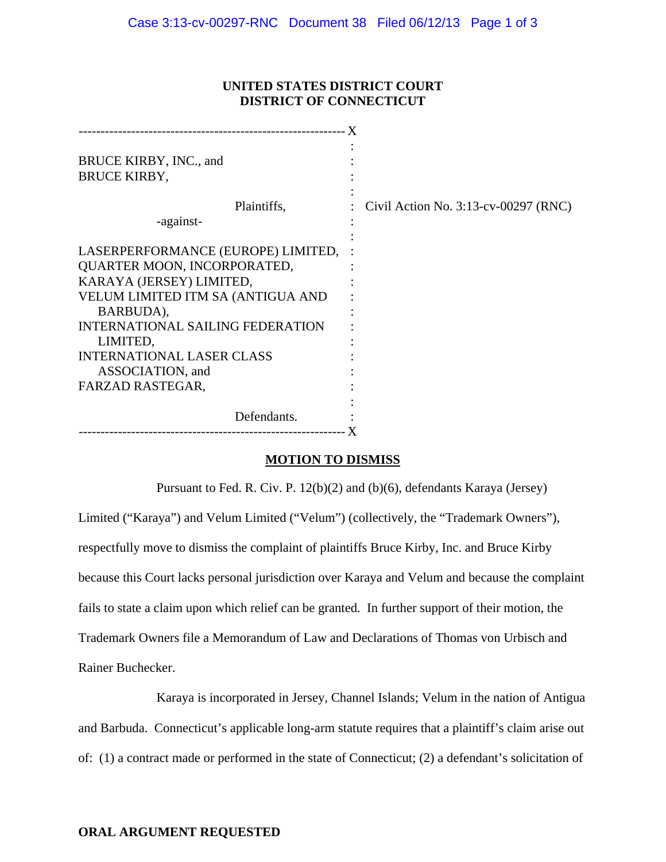## **UNITED STATES DISTRICT COURT DISTRICT OF CONNECTICUT**

| BRUCE KIRBY, INC., and<br><b>BRUCE KIRBY,</b>                                                                                                                                                                                                                  |                                         |
|----------------------------------------------------------------------------------------------------------------------------------------------------------------------------------------------------------------------------------------------------------------|-----------------------------------------|
| Plaintiffs,                                                                                                                                                                                                                                                    | Civil Action No. $3:13$ -cv-00297 (RNC) |
| -against-                                                                                                                                                                                                                                                      |                                         |
| LASERPERFORMANCE (EUROPE) LIMITED,<br>QUARTER MOON, INCORPORATED,<br>KARAYA (JERSEY) LIMITED,<br>VELUM LIMITED ITM SA (ANTIGUA AND<br>BARBUDA),<br><b>INTERNATIONAL SAILING FEDERATION</b><br>LIMITED,<br><b>INTERNATIONAL LASER CLASS</b><br>ASSOCIATION, and |                                         |
| FARZAD RASTEGAR,                                                                                                                                                                                                                                               |                                         |
|                                                                                                                                                                                                                                                                |                                         |
| Defendants.                                                                                                                                                                                                                                                    |                                         |
|                                                                                                                                                                                                                                                                |                                         |

## **MOTION TO DISMISS**

Pursuant to Fed. R. Civ. P. 12(b)(2) and (b)(6), defendants Karaya (Jersey) Limited ("Karaya") and Velum Limited ("Velum") (collectively, the "Trademark Owners"), respectfully move to dismiss the complaint of plaintiffs Bruce Kirby, Inc. and Bruce Kirby because this Court lacks personal jurisdiction over Karaya and Velum and because the complaint fails to state a claim upon which relief can be granted. In further support of their motion, the Trademark Owners file a Memorandum of Law and Declarations of Thomas von Urbisch and Rainer Buchecker.

Karaya is incorporated in Jersey, Channel Islands; Velum in the nation of Antigua and Barbuda. Connecticut's applicable long-arm statute requires that a plaintiff's claim arise out of: (1) a contract made or performed in the state of Connecticut; (2) a defendant's solicitation of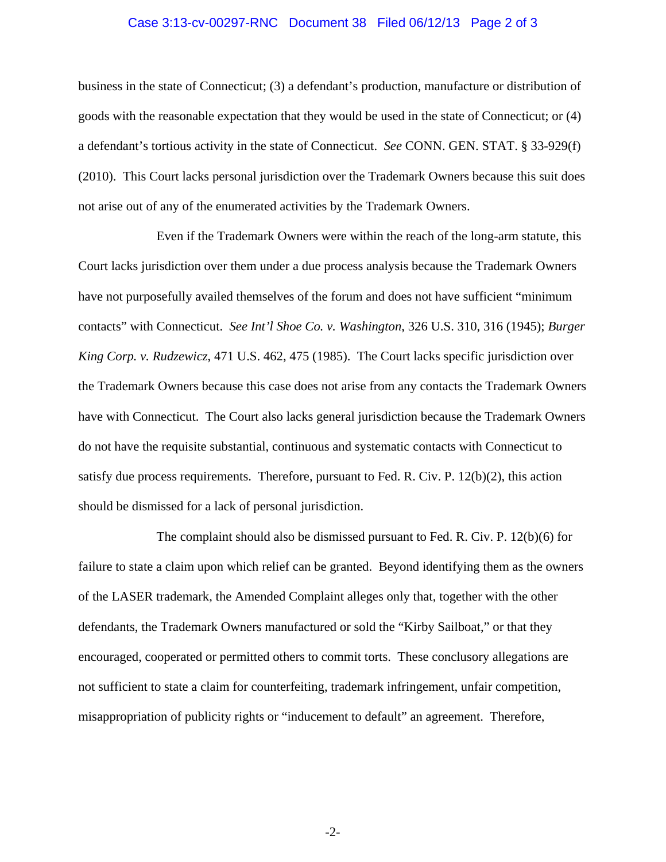## Case 3:13-cv-00297-RNC Document 38 Filed 06/12/13 Page 2 of 3

business in the state of Connecticut; (3) a defendant's production, manufacture or distribution of goods with the reasonable expectation that they would be used in the state of Connecticut; or (4) a defendant's tortious activity in the state of Connecticut. *See* CONN. GEN. STAT. § 33-929(f) (2010). This Court lacks personal jurisdiction over the Trademark Owners because this suit does not arise out of any of the enumerated activities by the Trademark Owners.

Even if the Trademark Owners were within the reach of the long-arm statute, this Court lacks jurisdiction over them under a due process analysis because the Trademark Owners have not purposefully availed themselves of the forum and does not have sufficient "minimum contacts" with Connecticut. *See Int'l Shoe Co. v. Washington*, 326 U.S. 310, 316 (1945); *Burger King Corp. v. Rudzewicz*, 471 U.S. 462, 475 (1985). The Court lacks specific jurisdiction over the Trademark Owners because this case does not arise from any contacts the Trademark Owners have with Connecticut. The Court also lacks general jurisdiction because the Trademark Owners do not have the requisite substantial, continuous and systematic contacts with Connecticut to satisfy due process requirements. Therefore, pursuant to Fed. R. Civ. P. 12(b)(2), this action should be dismissed for a lack of personal jurisdiction.

The complaint should also be dismissed pursuant to Fed. R. Civ. P. 12(b)(6) for failure to state a claim upon which relief can be granted. Beyond identifying them as the owners of the LASER trademark, the Amended Complaint alleges only that, together with the other defendants, the Trademark Owners manufactured or sold the "Kirby Sailboat," or that they encouraged, cooperated or permitted others to commit torts. These conclusory allegations are not sufficient to state a claim for counterfeiting, trademark infringement, unfair competition, misappropriation of publicity rights or "inducement to default" an agreement. Therefore,

-2-